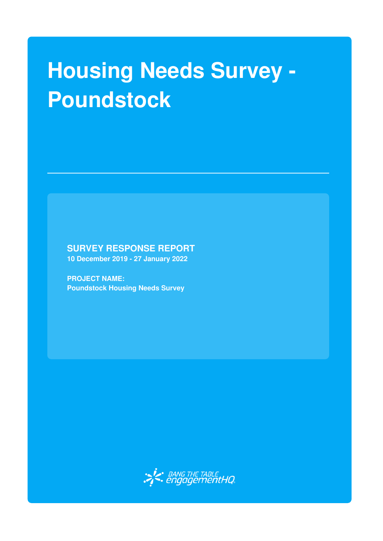# **Housing Needs Survey - Poundstock**

**SURVEY RESPONSE REPORT**

**10 December 2019 - 27 January 2022**

**PROJECT NAME: Poundstock Housing Needs Survey**

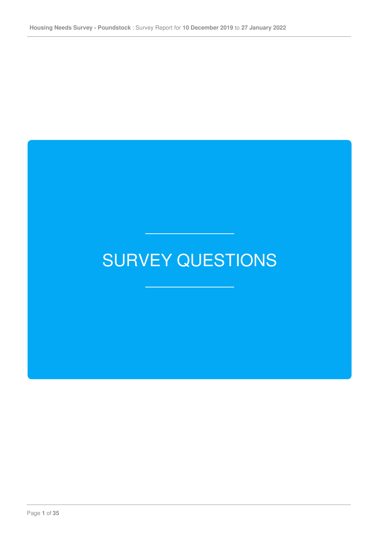## SURVEY QUESTIONS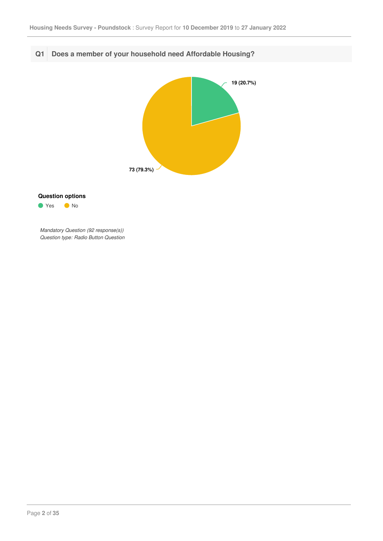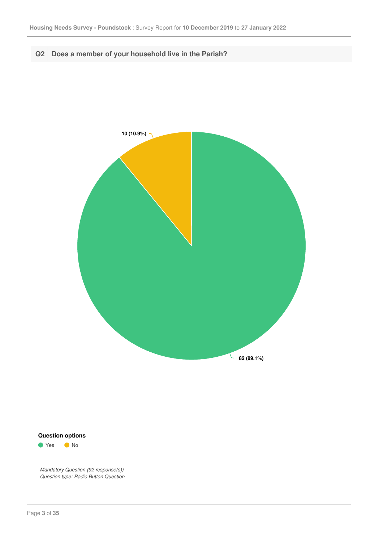





● Yes ● No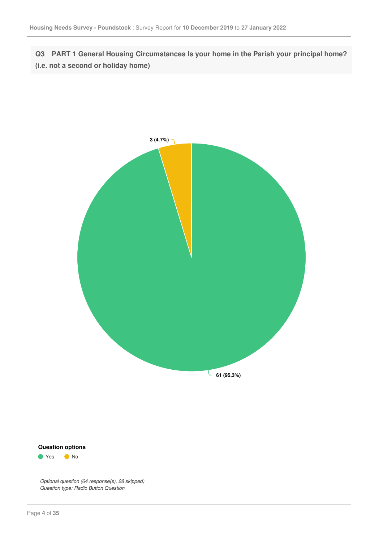**Q3 PART 1 General Housing Circumstances Is your home in the Parish your principal home? (i.e. not a second or holiday home)**





*Optional question (64 response(s), 28 skipped) Question type: Radio Button Question*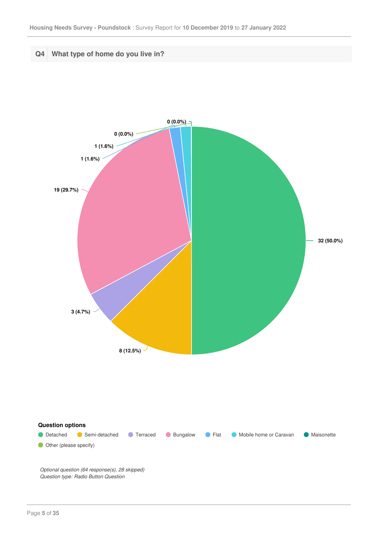

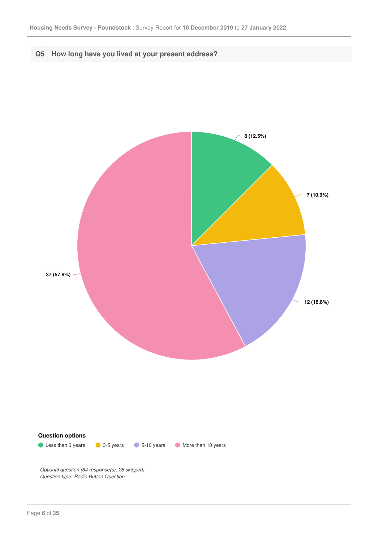

**C** Less than 3 years **C** 3-5 years **C** 5-10 years More than 10 years

*Optional question (64 response(s), 28 skipped) Question type: Radio Button Question*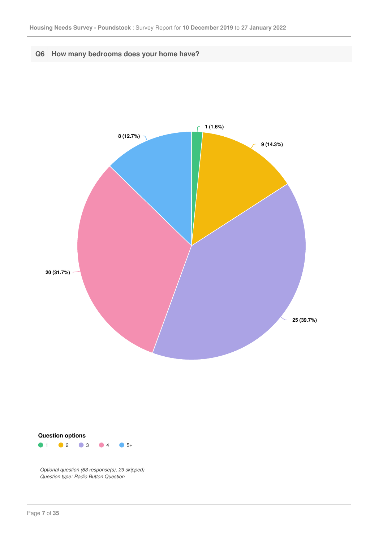



 $1$  0 2 0 3 0 4 0 5+

*Optional question (63 response(s), 29 skipped) Question type: Radio Button Question*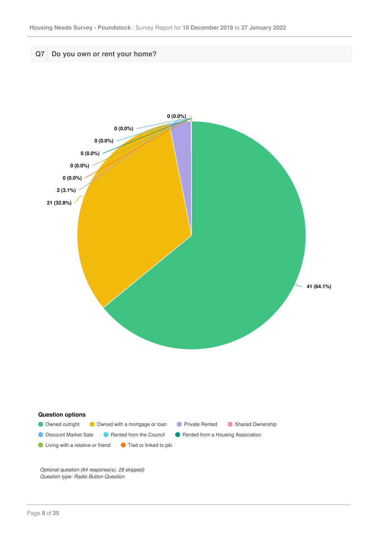

*Optional question (64 response(s), 28 skipped) Question type: Radio Button Question*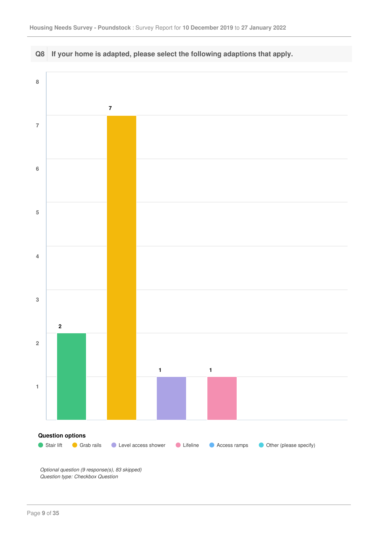

*Optional question (9 response(s), 83 skipped) Question type: Checkbox Question*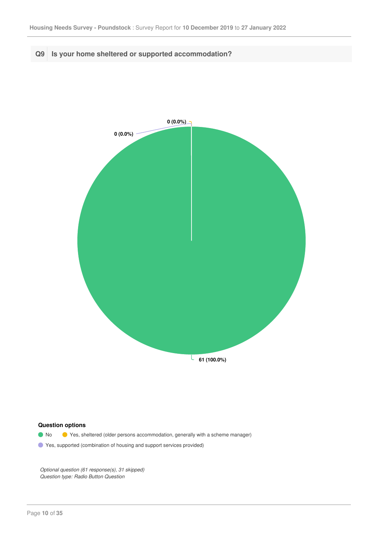**Q9 Is your home sheltered or supported accommodation?**



#### **Question options**

- No Yes, sheltered (older persons accommodation, generally with a scheme manager)
- Yes, supported (combination of housing and support services provided)

*Optional question (61 response(s), 31 skipped) Question type: Radio Button Question*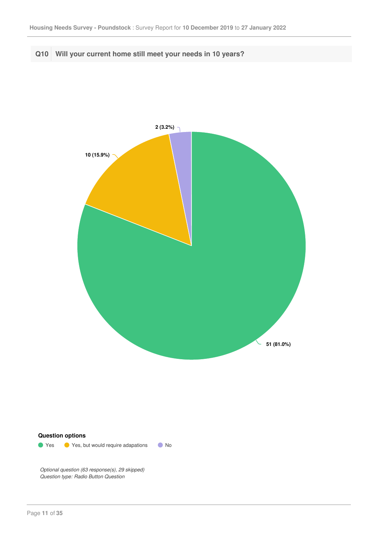#### **Q10 Will your current home still meet your needs in 10 years?**



#### **Question options**

**O** Yes **O** Yes, but would require adapations **O** No

*Optional question (63 response(s), 29 skipped) Question type: Radio Button Question*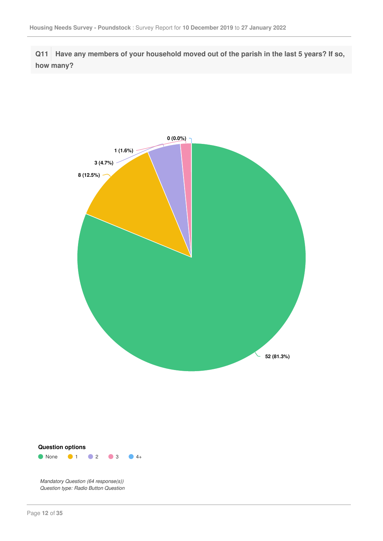**Q11 Have any members of your household moved out of the parish in the last 5 years? If so, how many?**



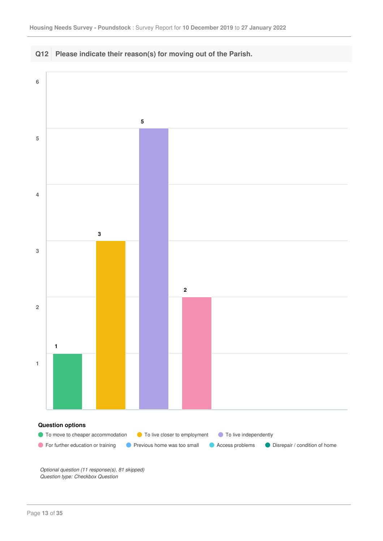

*Optional question (11 response(s), 81 skipped) Question type: Checkbox Question*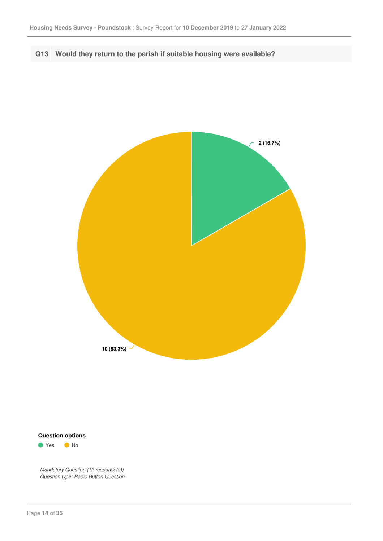### **Q13 Would they return to the parish if suitable housing were available?**



#### **Question options**

● Yes ● No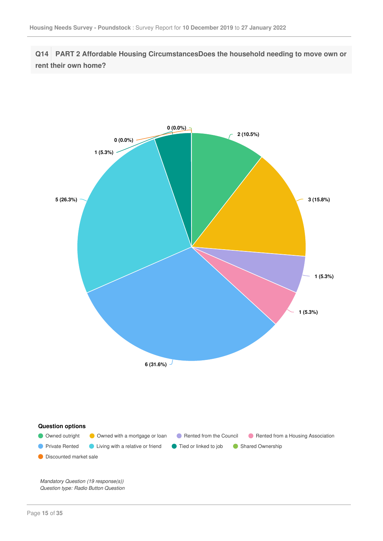**Q14 PART 2 Affordable Housing CircumstancesDoes the household needing to move own or rent their own home?**

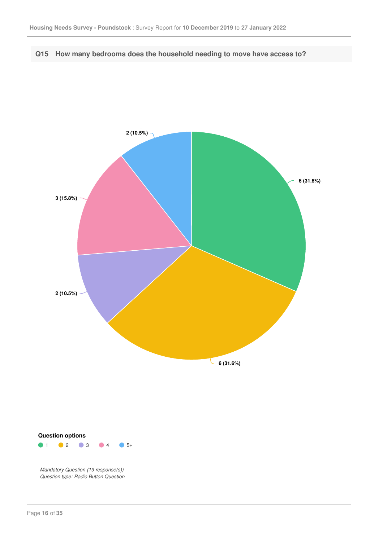#### **Q15 How many bedrooms does the household needing to move have access to?**



#### $1 \t 2 \t 3 \t 4 \t 5+$ **Question options**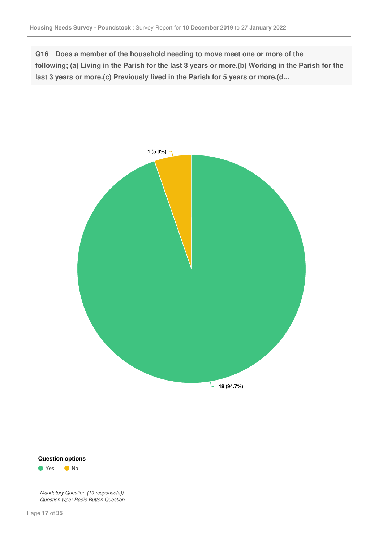**Q16 Does a member of the household needing to move meet one or more of the** following; (a) Living in the Parish for the last 3 years or more.(b) Working in the Parish for the **last 3 years or more.(c) Previously lived in the Parish for 5 years or more.(d...**





*Question type: Radio Button Question*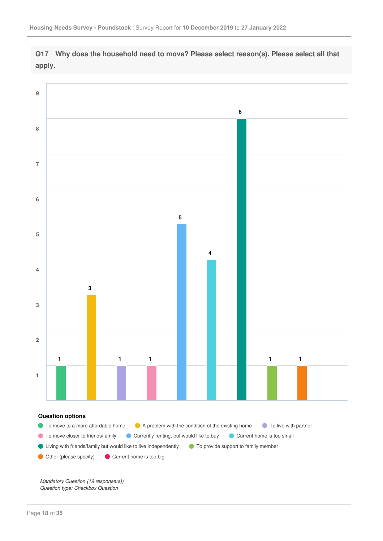



*Mandatory Question (19 response(s)) Question type: Checkbox Question*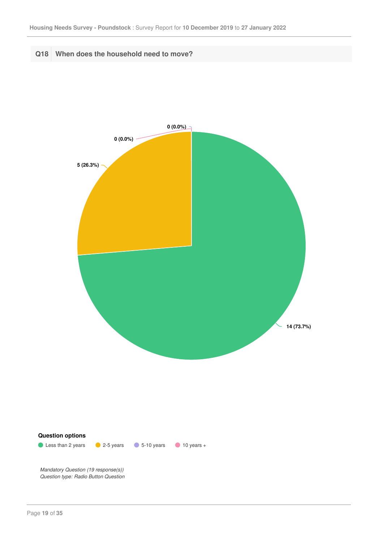**Q18 When does the household need to move?**



**Question options**

**10 years 2.5 years 6-10 years 10 years +**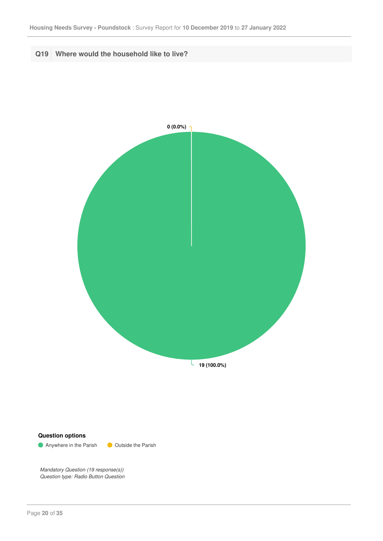



**Anywhere in the Parish COUtside the Parish**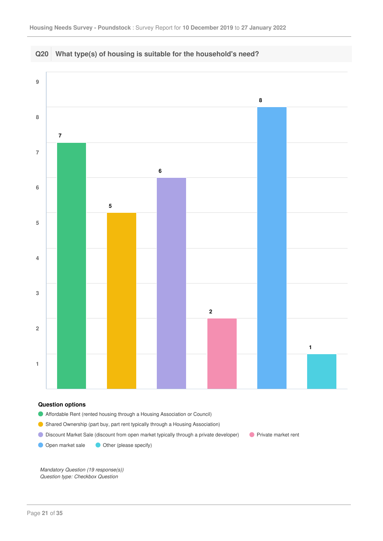

- Affordable Rent (rented housing through a Housing Association or Council)
- Shared Ownership (part buy, part rent typically through a Housing Association)
- **O** Discount Market Sale (discount from open market typically through a private developer) **Private market rent**

Open market sale Other (please specify)

*Mandatory Question (19 response(s)) Question type: Checkbox Question*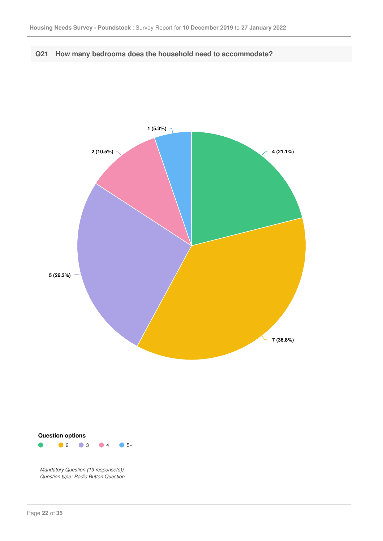



 $1$  0 2 0 3 0 4 0 5+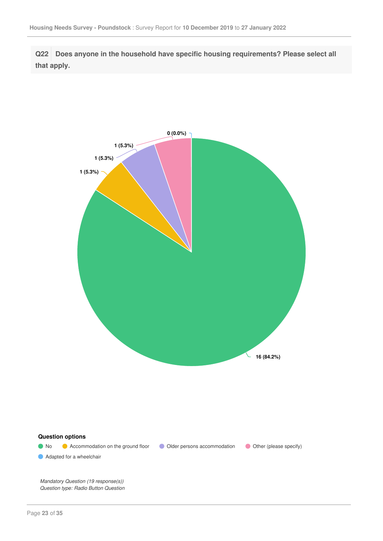**Q22 Does anyone in the household have specific housing requirements? Please select all that apply.**



**Question options**

Adapted for a wheelchair

• No • Accommodation on the ground floor • Older persons accommodation • Other (please specify)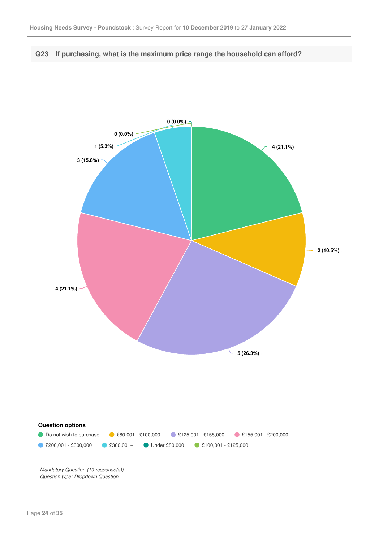#### **Q23 If purchasing, what is the maximum price range the household can afford?**



*Question type: Dropdown Question*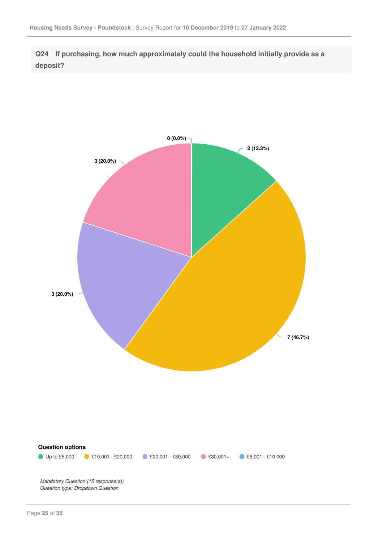**Q24 If purchasing, how much approximately could the household initially provide as a deposit?**

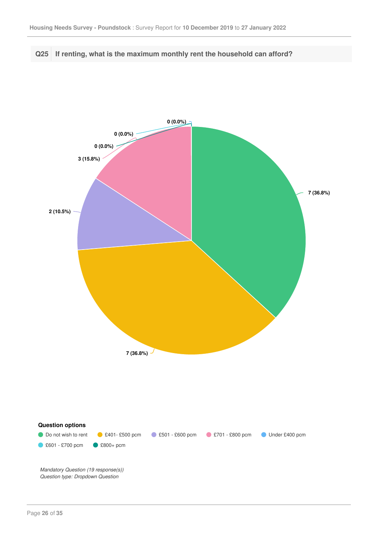

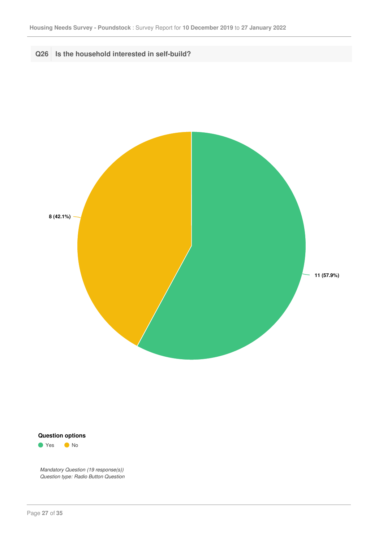



● Yes ● No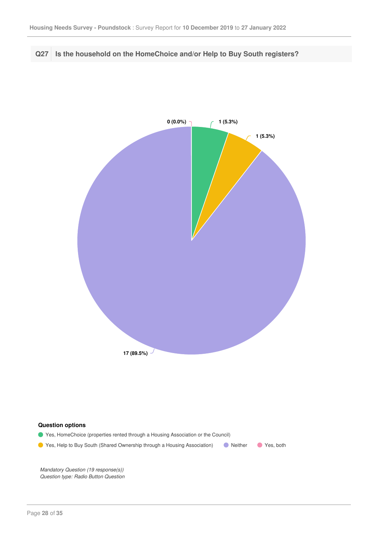#### **Q27 Is the household on the HomeChoice and/or Help to Buy South registers?**



#### **Question options**

Yes, HomeChoice (properties rented through a Housing Association or the Council) **O** Yes, Help to Buy South (Shared Ownership through a Housing Association) **O** Neither **C** Yes, both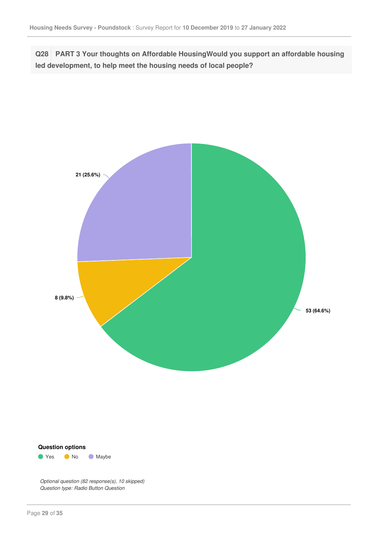**Q28 PART 3 Your thoughts on Affordable HousingWould you support an affordable housing led development, to help meet the housing needs of local people?**





*Optional question (82 response(s), 10 skipped) Question type: Radio Button Question*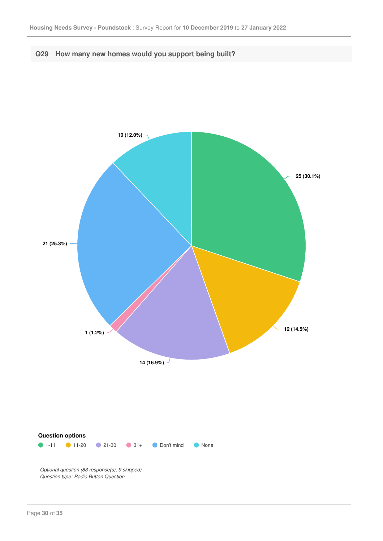

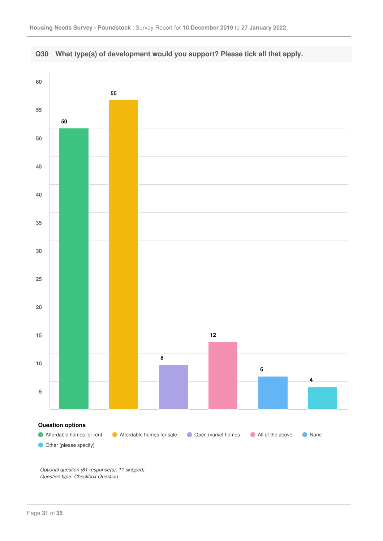

*Optional question (81 response(s), 11 skipped) Question type: Checkbox Question*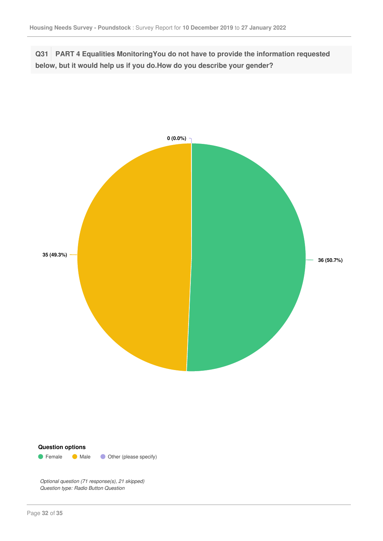**Q31 PART 4 Equalities MonitoringYou do not have to provide the information requested below, but it would help us if you do.How do you describe your gender?**





*Optional question (71 response(s), 21 skipped) Question type: Radio Button Question*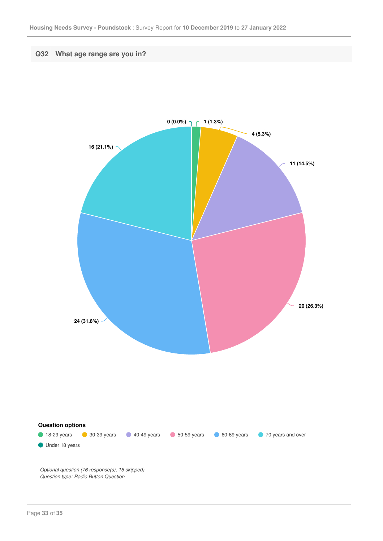

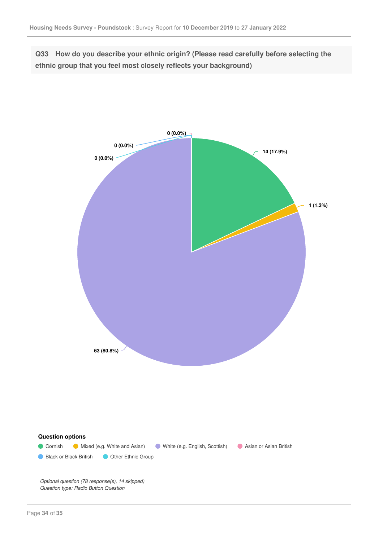**Q33 How do you describe your ethnic origin? (Please read carefully before selecting the ethnic group that you feel most closely reflects your background)**